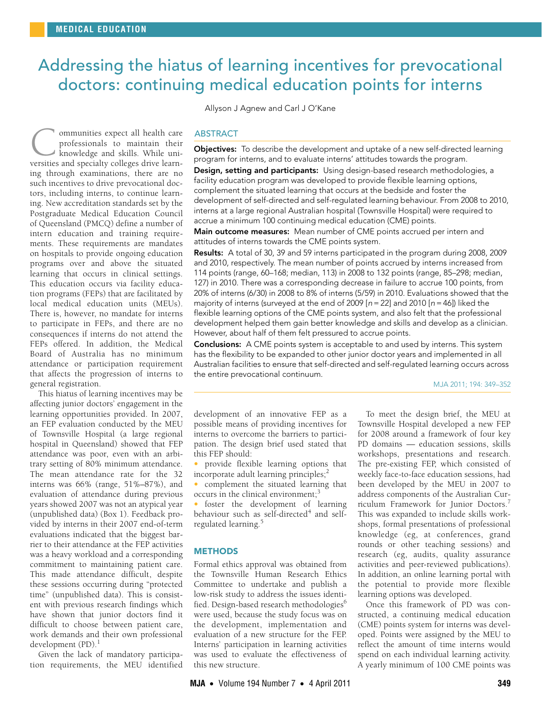# <span id="page-0-0"></span>Addressing the hiatus of learning incentives for prevocational doctors: continuing medical education points for interns

Allyson J Agnew and Carl J O'Kane

ommunities expect all health care professionals to maintain their knowledge and skills. While uni-**C** ommunities expect all health care<br>professionals to maintain their<br>knowledge and skills. While uni-<br>versities and specialty colleges drive learning through examinations, there are no such incentives to drive prevocational doctors, including interns, to continue learning. New accreditation standards set by the Postgraduate Medical Education Council of Queensland (PMCQ) define a number of intern education and training requirements. These requirements are mandates on hospitals to provide ongoing education programs over and above the situated learning that occurs in clinical settings. This education occurs via facility education programs (FEPs) that are facilitated by local medical education units (MEUs). There is, however, no mandate for interns to participate in FEPs, and there are no consequences if interns do not attend the FEPs offered. In addition, the Medical Board of Australia has no minimum attendance or participation requirement that affects the progression of interns to general registration.

was a heavy workload and a corresponding III commitment to maintaining patie[nt c](#page-0-0)[are.](#page-3-4) This made attendance difficult, despite th these sessions occurring during "protected time" (unpublished data). This is consist-This hiatus of learning incentives may be affecting junior doctors' engagement in the learning opportunities provided. In 2007, an FEP evaluation conducted by the MEU of Townsville Hospital (a large regional hospital in Queensland) showed that FEP attendance was poor, even with an arbitrary setting of 80% minimum attendance. The mean attendance rate for the 32 interns was 66% (range, 51%–87%), and evaluation of attendance during previous years showed 2007 was not an atypical year (unpublished data) ([Box 1](#page-1-0)). Feedback provided by interns in their 2007 end-of-term evaluations indicated that the biggest barrier to their attendance at the FEP activities ent with previous research findings which have shown that junior doctors find it difficult to choose between patient care, work demands and their own professional development  $(PD).<sup>1</sup>$  $(PD).<sup>1</sup>$  $(PD).<sup>1</sup>$ 

Given the lack of mandatory participation requirements, the MEU identified

### ABSTRACT

**Objectives:** To describe the development and uptake of a new self-directed learning program for interns, and to evaluate interns' attitudes towards the program. Design, setting and participants: Using design-based research methodologies, a facility education program was developed to provide flexible learning options, complement the situated learning that occurs at the bedside and foster the development of self-directed and self-regulated learning behaviour. From 2008 to 2010, interns at a large regional Australian hospital (Townsville Hospital) were required to accrue a minimum 100 continuing medical education (CME) points.

Main outcome measures: Mean number of CME points accrued per intern and attitudes of interns towards the CME points system.

Results: A total of 30, 39 and 59 interns participated in the program during 2008, 2009 and 2010, respectively. The mean number of points accrued by interns increased from 114 points (range, 60–168; median, 113) in 2008 to 132 points (range, 85–298; median, 127) in 2010. There was a corresponding decrease in failure to accrue 100 points, from 20% of interns (6/30) in 2008 to 8% of interns (5/59) in 2010. Evaluations showed that the majority of interns (surveyed at the end of 2009  $[n=22]$  and 2010  $[n=46]$ ) liked the flexible learning options of the CME points system, and also felt that the professional development helped them gain better knowledge and skills and develop as a clinician. However, about half of them felt pressured to accrue points.

Conclusions: A CME points system is acceptable to and used by interns. This system has the flexibility to be expanded to other junior doctor years and implemented in all Australian facilities to ensure that self-directed and self-regulated learning occurs across the entire prevocational continuum.

MJA 2011; 194: 349–352

development of an innovative FEP as a possible means of providing incentives for interns to overcome the barriers to participation. The design brief used stated that this FEP should:

• provide flexible learning options that incorporate adult learning principles; $\frac{2}{3}$  $\frac{2}{3}$  $\frac{2}{3}$ 

• complement the situated learning that occurs in the clinical environment; $3$ 

• foster the development of learning behaviour such as self-directed<sup>[4](#page-3-0)</sup> and self-regulated learning.<sup>[5](#page-3-1)</sup>

## **METHODS**

Formal ethics approval was obtained from the Townsville Human Research Ethics Committee to undertake and publish a low-risk study to address the issues identi-fied. Design-based research methodologies<sup>[6](#page-3-2)</sup> were used, because the study focus was on the development, implementation and evaluation of a new structure for the FEP. Interns' participation in learning activities was used to evaluate the effectiveness of this new structure.

To meet the design brief, the MEU at Townsville Hospital developed a new FEP for 2008 around a framework of four key PD domains — education sessions, skills workshops, presentations and research. The pre-existing FEP, which consisted of weekly face-to-face education sessions, had been developed by the MEU in 2007 to address components of the Australian Cur-riculum Framework for Junior Doctors.<sup>[7](#page-3-3)</sup> This was expanded to include skills workshops, formal presentations of professional knowledge (eg, at conferences, grand rounds or other teaching sessions) and research (eg, audits, quality assurance activities and peer-reviewed publications). In addition, an online learning portal with the potential to provide more flexible learning options was developed.

Once this framework of PD was constructed, a continuing medical education (CME) points system for interns was developed. Points were assigned by the MEU to reflect the amount of time interns would spend on each individual learning activity. A yearly minimum of 100 CME points was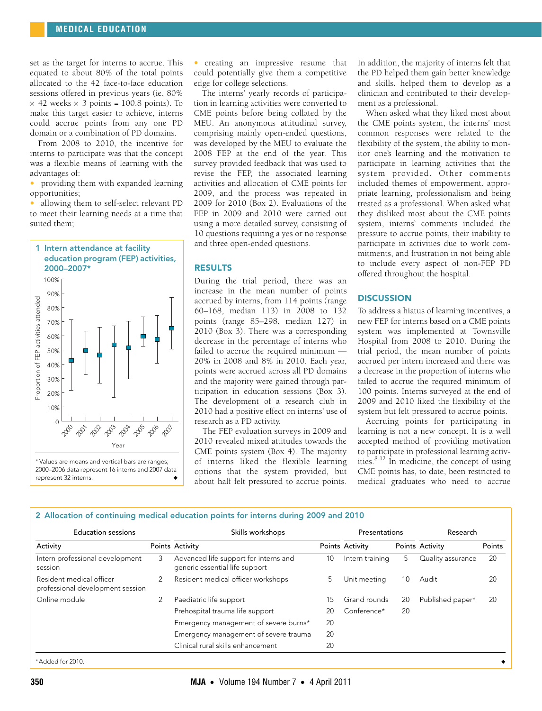set as the target for interns to accrue. This equated to about 80% of the total points allocated to the 42 face-to-face education sessions offered in previous years (ie, 80%  $\times$  42 weeks  $\times$  3 points = 100.8 points). To make this target easier to achieve, interns could accrue points from any one PD domain or a combination of PD domains.

From 2008 to 2010, the incentive for interns to participate was that the concept was a flexible means of learning with the advantages of:

• providing them with expanded learning opportunities;

• allowing them to self-select relevant PD to meet their learning needs at a time that suited them;

<span id="page-1-0"></span>

• creating an impressive resume that could potentially give them a competitive edge for college selections.

The interns' yearly records of participation in learning activities were converted to CME points before being collated by the MEU. An anonymous attitudinal survey, comprising mainly open-ended questions, was developed by the MEU to evaluate the 2008 FEP at the end of the year. This survey provided feedback that was used to revise the FEP, the associated learning activities and allocation of CME points for 2009, and the process was repeated in 2009 for 2010 [\(Box 2](#page-1-1)). Evaluations of the FEP in 2009 and 2010 were carried out using a more detailed survey, consisting of 10 questions requiring a yes or no response and three open-ended questions.

### RESULTS

During the trial period, there was an increase in the mean number of points accrued by interns, from 114 points (range 60–168, median 113) in 2008 to 132 points (range 85–298, median 127) in 2010 ([Box 3\)](#page-2-3). There was a corresponding decrease in the percentage of interns who failed to accrue the required minimum — 20% in 2008 and 8% in 2010. Each year, points were accrued across all PD domains and the majority were gained through participation in education sessions ([Box 3](#page-2-3)). The development of a research club in 2010 had a positive effect on interns' use of research as a PD activity.

The FEP evaluation surveys in 2009 and 2010 revealed mixed attitudes towards the CME points system ([Box 4\)](#page-2-4). The majority of interns liked the flexible learning options that the system provided, but about half felt pressured to accrue points.

In addition, the majority of interns felt that the PD helped them gain better knowledge and skills, helped them to develop as a clinician and contributed to their development as a professional.

When asked what they liked most about the CME points system, the interns' most common responses were related to the flexibility of the system, the ability to monitor one's learning and the motivation to participate in learning activities that the system provided. Other comments included themes of empowerment, appropriate learning, professionalism and being treated as a professional. When asked what they disliked most about the CME points system, interns' comments included the pressure to accrue points, their inability to participate in activities due to work commitments, and frustration in not being able to include every aspect of non-FEP PD offered throughout the hospital.

## **DISCUSSION**

To address a hiatus of learning incentives, a new FEP for interns based on a CME points system was implemented at Townsville Hospital from 2008 to 2010. During the trial period, the mean number of points accrued per intern increased and there was a decrease in the proportion of interns who failed to accrue the required minimum of 100 points. Interns surveyed at the end of 2009 and 2010 liked the flexibility of the system but felt pressured to accrue points.

Accruing points for participating in learning is not a new concept. It is a well accepted method of providing motivation to participate in professional learning activities. $8-12$  $8-12$  In medicine, the concept of using CME points has, to date, been restricted to medical graduates who need to accrue

#### <span id="page-1-1"></span>2 Allocation of continuing medical education points for interns during 2009 and 2010

| <b>Education sessions</b>                                    |   | Skills workshops                                                        |    | Presentations   |    | Research          |        |
|--------------------------------------------------------------|---|-------------------------------------------------------------------------|----|-----------------|----|-------------------|--------|
| Activity                                                     |   | Points Activity                                                         |    | Points Activity |    | Points Activity   | Points |
| Intern professional development<br>session                   | 3 | Advanced life support for interns and<br>generic essential life support | 10 | Intern training | 5. | Quality assurance | 20     |
| Resident medical officer<br>professional development session |   | Resident medical officer workshops                                      | 5. | Unit meeting    | 10 | Audit             | 20     |
| Online module                                                |   | Paediatric life support                                                 | 15 | Grand rounds    | 20 | Published paper*  | 20     |
|                                                              |   | Prehospital trauma life support                                         | 20 | Conference*     | 20 |                   |        |
|                                                              |   | Emergency management of severe burns*                                   | 20 |                 |    |                   |        |
|                                                              |   | Emergency management of severe trauma                                   | 20 |                 |    |                   |        |
|                                                              |   | Clinical rural skills enhancement                                       | 20 |                 |    |                   |        |
| *Added for 2010.                                             |   |                                                                         |    |                 |    |                   |        |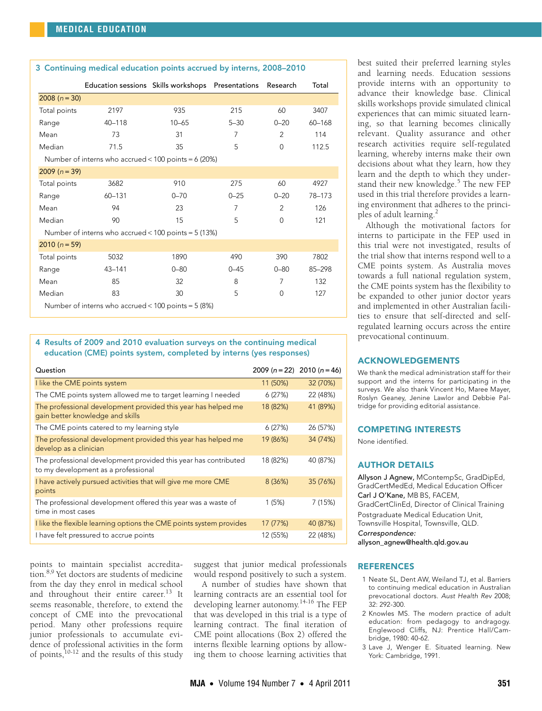<span id="page-2-3"></span>

| 3 Continuing medical education points accrued by interns, 2008-2010 |                                                   |           |                |                |        |  |  |
|---------------------------------------------------------------------|---------------------------------------------------|-----------|----------------|----------------|--------|--|--|
|                                                                     | Education sessions Skills workshops Presentations |           |                | Research       | Total  |  |  |
| $2008 (n = 30)$                                                     |                                                   |           |                |                |        |  |  |
| Total points                                                        | 2197                                              | 935       | 215            | 60             | 3407   |  |  |
| Range                                                               | $40 - 118$                                        | $10 - 65$ | $5 - 30$       | $0 - 20$       | 60-168 |  |  |
| Mean                                                                | 73                                                | 31        | 7              | 2              | 114    |  |  |
| Median                                                              | 71.5                                              | 35        | 5              | $\Omega$       | 112.5  |  |  |
| Number of interns who accrued < $100$ points = 6 (20%)              |                                                   |           |                |                |        |  |  |
| $2009 (n = 39)$                                                     |                                                   |           |                |                |        |  |  |
| Total points                                                        | 3682                                              | 910       | 275            | 60             | 4927   |  |  |
| Range                                                               | $60 - 131$                                        | $0 - 70$  | $0 - 25$       | $0 - 20$       | 78-173 |  |  |
| Mean                                                                | 94                                                | 23        | $\overline{7}$ | 2              | 126    |  |  |
| Median                                                              | 90                                                | 15        | 5              | $\Omega$       | 121    |  |  |
| Number of interns who accrued < $100$ points = $5(13%)$             |                                                   |           |                |                |        |  |  |
| $2010(n=59)$                                                        |                                                   |           |                |                |        |  |  |
| Total points                                                        | 5032                                              | 1890      | 490            | 390            | 7802   |  |  |
| Range                                                               | $43 - 141$                                        | $0 - 80$  | $0 - 45$       | $0 - 80$       | 85-298 |  |  |
| Mean                                                                | 85                                                | 32        | 8              | $\overline{7}$ | 132    |  |  |
| Median                                                              | 83                                                | 30        | 5              | $\mathbf 0$    | 127    |  |  |
| Number of interns who accrued < $100$ points = $5(8%)$              |                                                   |           |                |                |        |  |  |

## <span id="page-2-4"></span>4 Results of 2009 and 2010 evaluation surveys on the continuing medical education (CME) points system, completed by interns (yes responses)

| Question                                                                                               |          | $2009 (n = 22)$ 2010 $(n = 46)$ |
|--------------------------------------------------------------------------------------------------------|----------|---------------------------------|
| I like the CME points system                                                                           | 11 (50%) | 32 (70%)                        |
| The CME points system allowed me to target learning I needed                                           | 6(27%)   | 22 (48%)                        |
| The professional development provided this year has helped me<br>gain better knowledge and skills      | 18 (82%) | 41 (89%)                        |
| The CME points catered to my learning style                                                            | 6(27%)   | 26 (57%)                        |
| The professional development provided this year has helped me<br>develop as a clinician                | 19 (86%) | 34 (74%)                        |
| The professional development provided this year has contributed<br>to my development as a professional | 18 (82%) | 40 (87%)                        |
| I have actively pursued activities that will give me more CME<br>points                                | 8(36%)   | 35 (76%)                        |
| The professional development offered this year was a waste of<br>time in most cases                    | 1(5%)    | 7(15%)                          |
| I like the flexible learning options the CME points system provides                                    | 17 (77%) | 40 (87%)                        |
| I have felt pressured to accrue points                                                                 | 12 (55%) | 22 (48%)                        |

points to maintain specialist accredita-tion.<sup>[8](#page-3-5),9</sup> Yet doctors are students of medicine from the day they enrol in medical school and throughout their entire career. $^{13}$  It seems reasonable, therefore, to extend the concept of CME into the prevocational period. Many other professions require junior professionals to accumulate evidence of professional activities in the form of points, $10-12$  $10-12$  and the results of this study suggest that junior medical professionals would respond positively to such a system.

A number of studies have shown that learning contracts are an essential tool for developing learner autonomy.<sup>[14-](#page-3-10)[16](#page-3-4)</sup> The FEP that was developed in this trial is a type of learning contract. The final iteration of CME point allocations [\(Box 2\)](#page-1-1) offered the interns flexible learning options by allowing them to choose learning activities that best suited their preferred learning styles and learning needs. Education sessions provide interns with an opportunity to advance their knowledge base. Clinical skills workshops provide simulated clinical experiences that can mimic situated learning, so that learning becomes clinically relevant. Quality assurance and other research activities require self-regulated learning, whereby interns make their own decisions about what they learn, how they learn and the depth to which they under-stand their new knowledge.<sup>[5](#page-3-1)</sup> The new FEP used in this trial therefore provides a learning environment that adheres to the princi-ples of adult learning.<sup>[2](#page-2-1)</sup>

Although the motivational factors for interns to participate in the FEP used in this trial were not investigated, results of the trial show that interns respond well to a CME points system. As Australia moves towards a full national regulation system, the CME points system has the flexibility to be expanded to other junior doctor years and implemented in other Australian facilities to ensure that self-directed and selfregulated learning occurs across the entire prevocational continuum.

## ACKNOWLEDGEMENTS

We thank the medical administration staff for their support and the interns for participating in the surveys. We also thank Vincent Ho, Maree Mayer, Roslyn Geaney, Jenine Lawlor and Debbie Paltridge for providing editorial assistance.

#### COMPETING INTERESTS

None identified.

## AUTHOR DETAILS

Allyson J Agnew, MContempSc, GradDipEd, GradCertMedEd, Medical Education Officer Carl J O'Kane, MB BS, FACEM, GradCertClinEd, Director of Clinical Training Postgraduate Medical Education Unit, Townsville Hospital, Townsville, QLD. Correspondence:

allyson\_agnew@health.qld.gov.au

#### **REFERENCES**

- <span id="page-2-0"></span>1 Neate SL, Dent AW, Weiland TJ, et al. Barriers to continuing medical education in Australian prevocational doctors. Aust Health Rev 2008; 32: 292-300.
- <span id="page-2-1"></span>2 Knowles MS. The modern practice of adult education: from pedagogy to andragogy. Englewood Cliffs, NJ: Prentice Hall/Cambridge, 1980: 40-62.
- <span id="page-2-2"></span>3 Lave J, Wenger E. Situated learning. New York: Cambridge, 1991.